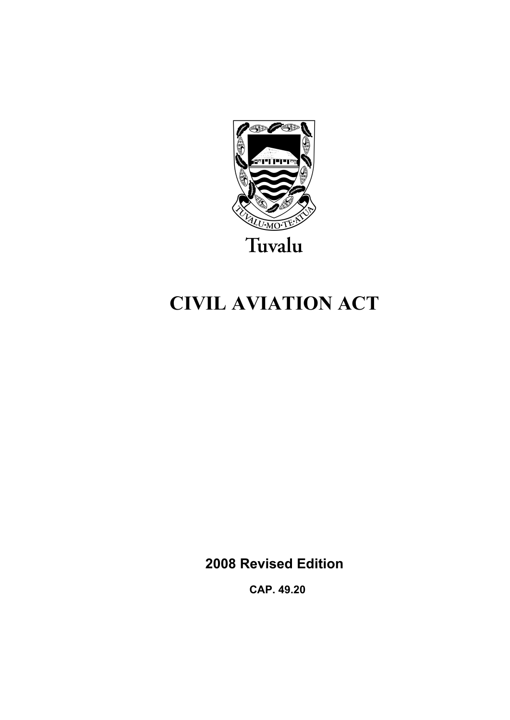

# **CIVIL AVIATION ACT**

**2008 Revised Edition** 

 **CAP. 49.20**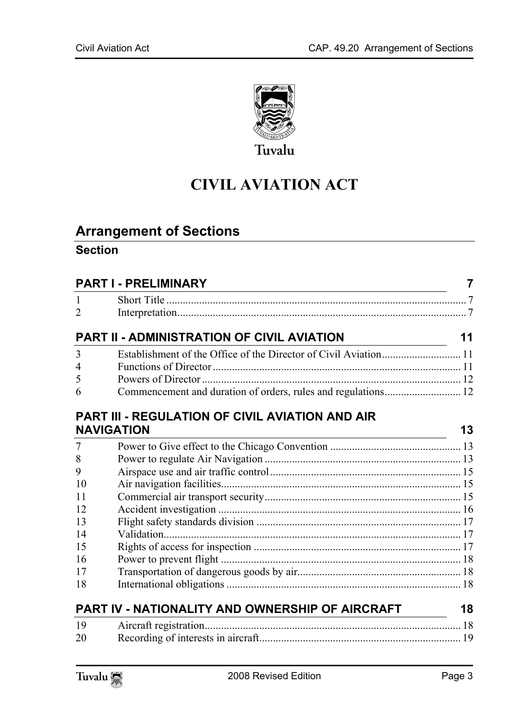

# **CIVIL AVIATION ACT**

# **Arrange[ment of Sections](#page-6-1)**

# **Section**

| <b>PART I - PRELIMINARY</b> |                                                        |    |
|-----------------------------|--------------------------------------------------------|----|
| $\mathbf{1}$                |                                                        |    |
| $\overline{2}$              |                                                        |    |
|                             | PART II - ADMINISTRATION OF CIVIL AVIATION             | 11 |
| 3                           |                                                        |    |
| 4                           |                                                        |    |
| 5                           |                                                        |    |
| 6                           |                                                        |    |
|                             | <b>PART III - REGULATION OF CIVIL AVIATION AND AIR</b> |    |
| <b>NAVIGATION</b>           |                                                        | 13 |
| $\overline{7}$              |                                                        |    |
| 8                           |                                                        |    |
| 9                           |                                                        |    |
| 10                          |                                                        |    |
| 11                          |                                                        |    |
| 12                          |                                                        |    |
| 13                          |                                                        |    |
| 14                          |                                                        |    |
| 15                          |                                                        |    |
| 16                          |                                                        |    |
| 17                          |                                                        |    |
| 18                          |                                                        |    |
|                             | PART IV - NATIONALITY AND OWNERSHIP OF AIRCRAFT        | 18 |
| 19                          |                                                        |    |
| 20                          |                                                        |    |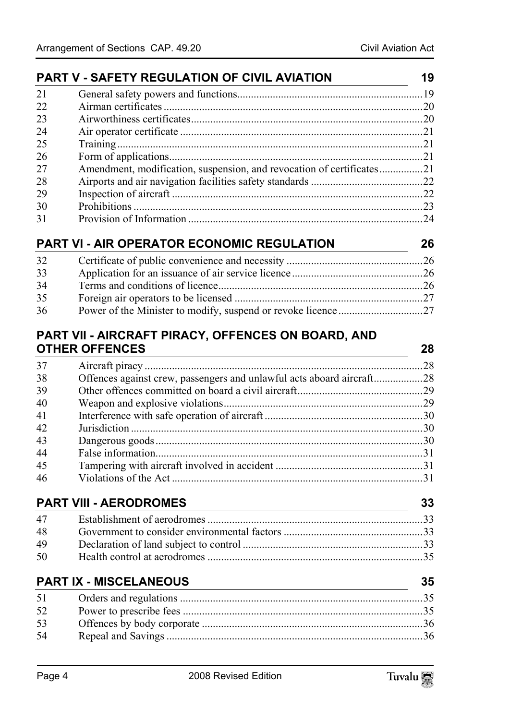|    | PART V - SAFETY REGULATION OF CIVIL AVIATION                                                                                                  | 19 |
|----|-----------------------------------------------------------------------------------------------------------------------------------------------|----|
| 21 |                                                                                                                                               |    |
| 22 |                                                                                                                                               |    |
| 23 |                                                                                                                                               |    |
| 24 |                                                                                                                                               |    |
| 25 |                                                                                                                                               |    |
| 26 |                                                                                                                                               |    |
| 27 | Amendment, modification, suspension, and revocation of certificates21                                                                         |    |
| 28 |                                                                                                                                               |    |
| 29 |                                                                                                                                               |    |
| 30 |                                                                                                                                               |    |
| 31 |                                                                                                                                               |    |
|    | PART VI - AIR OPERATOR ECONOMIC REGULATION                                                                                                    | 26 |
| 32 |                                                                                                                                               |    |
| 33 |                                                                                                                                               |    |
| 34 |                                                                                                                                               |    |
| 35 |                                                                                                                                               |    |
| 36 |                                                                                                                                               |    |
|    | PART VII - AIRCRAFT PIRACY, OFFENCES ON BOARD, AND                                                                                            |    |
|    | <b>OTHER OFFENCES</b><br><u> 1980 - Johann Barn, mars ann an t-Amhain Aonaich an t-Aonaich an t-Aonaich ann an t-Aonaich ann an t-Aonaich</u> | 28 |
| 37 |                                                                                                                                               |    |
| 38 | Offences against crew, passengers and unlawful acts aboard aircraft28                                                                         |    |
| 39 |                                                                                                                                               |    |
| 40 |                                                                                                                                               |    |
| 41 |                                                                                                                                               |    |
| 42 |                                                                                                                                               |    |
| 43 |                                                                                                                                               |    |
| 44 |                                                                                                                                               |    |
| 45 |                                                                                                                                               |    |
| 46 |                                                                                                                                               |    |
|    | <b>PART VIII - AERODROMES</b>                                                                                                                 | 33 |
| 47 |                                                                                                                                               |    |
| 48 |                                                                                                                                               |    |
| 49 |                                                                                                                                               |    |
| 50 |                                                                                                                                               |    |
|    | <b>PART IX - MISCELANEOUS</b>                                                                                                                 | 35 |
| 51 |                                                                                                                                               |    |
| 52 |                                                                                                                                               |    |
|    |                                                                                                                                               |    |
| 53 |                                                                                                                                               |    |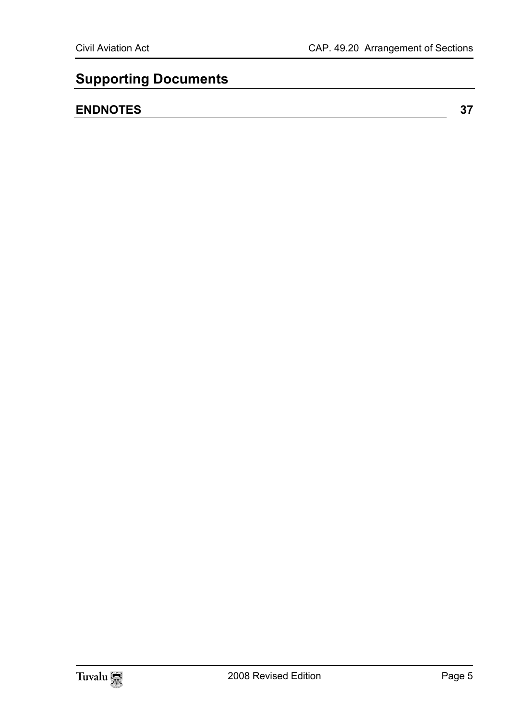# **Supporting Documents**

# **ENDNOTES 37**

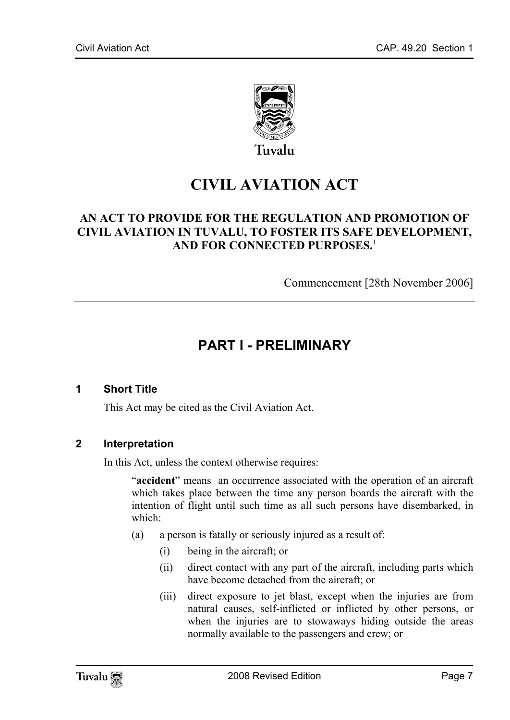

# **CIVIL AVIATION ACT**

# **AN ACT TO PROVIDE FOR THE REGULATION AND PROMOTION OF CIVIL AVIATION IN TUVALU, TO FOSTER ITS SAFE DEVELOPMENT, AND FOR CONNECTED PURPOSES.**<sup>1</sup>

<span id="page-6-0"></span>Commencement [28th November 2006]

# <span id="page-6-1"></span>**PART I - PRELIMINARY**

#### **1 Short Title**

This Act may be cited as the Civil Aviation Act.

#### **2 Interpretation**

In this Act, unless the context otherwise requires:

"**accident**" means an occurrence associated with the operation of an aircraft which takes place between the time any person boards the aircraft with the intention of flight until such time as all such persons have disembarked, in which:

- (a) a person is fatally or seriously injured as a result of:
	- (i) being in the aircraft; or
	- (ii) direct contact with any part of the aircraft, including parts which have become detached from the aircraft; or
	- (iii) direct exposure to jet blast, except when the injuries are from natural causes, self-inflicted or inflicted by other persons, or when the injuries are to stowaways hiding outside the areas normally available to the passengers and crew; or

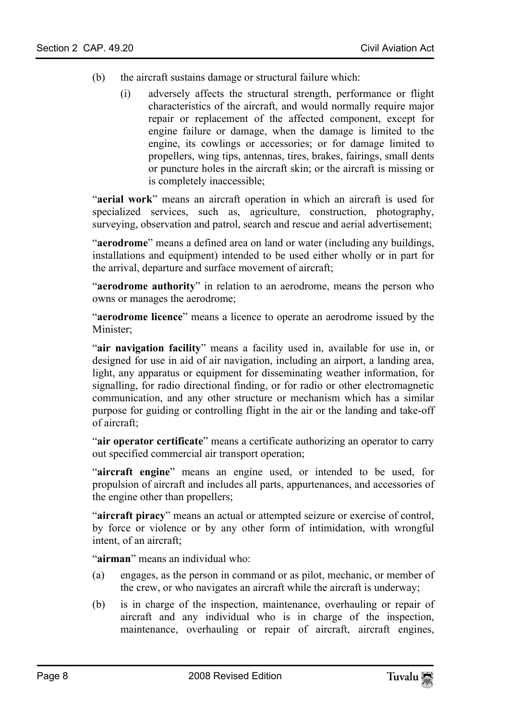- (b) the aircraft sustains damage or structural failure which:
	- (i) adversely affects the structural strength, performance or flight characteristics of the aircraft, and would normally require major repair or replacement of the affected component, except for engine failure or damage, when the damage is limited to the engine, its cowlings or accessories; or for damage limited to propellers, wing tips, antennas, tires, brakes, fairings, small dents or puncture holes in the aircraft skin; or the aircraft is missing or is completely inaccessible;

"**aerial work**" means an aircraft operation in which an aircraft is used for specialized services, such as, agriculture, construction, photography, surveying, observation and patrol, search and rescue and aerial advertisement;

"**aerodrome**" means a defined area on land or water (including any buildings, installations and equipment) intended to be used either wholly or in part for the arrival, departure and surface movement of aircraft;

"**aerodrome authority**" in relation to an aerodrome, means the person who owns or manages the aerodrome;

"**aerodrome licence**" means a licence to operate an aerodrome issued by the Minister;

"**air navigation facility**" means a facility used in, available for use in, or designed for use in aid of air navigation, including an airport, a landing area, light, any apparatus or equipment for disseminating weather information, for signalling, for radio directional finding, or for radio or other electromagnetic communication, and any other structure or mechanism which has a similar purpose for guiding or controlling flight in the air or the landing and take-off of aircraft;

"**air operator certificate**" means a certificate authorizing an operator to carry out specified commercial air transport operation;

"**aircraft engine**" means an engine used, or intended to be used, for propulsion of aircraft and includes all parts, appurtenances, and accessories of the engine other than propellers;

"**aircraft piracy**" means an actual or attempted seizure or exercise of control, by force or violence or by any other form of intimidation, with wrongful intent, of an aircraft;

"**airman**" means an individual who:

- (a) engages, as the person in command or as pilot, mechanic, or member of the crew, or who navigates an aircraft while the aircraft is underway;
- (b) is in charge of the inspection, maintenance, overhauling or repair of aircraft and any individual who is in charge of the inspection, maintenance, overhauling or repair of aircraft, aircraft engines,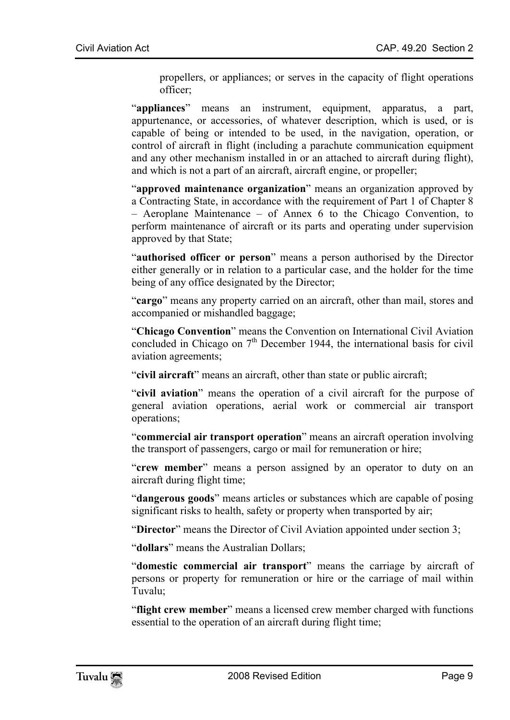propellers, or appliances; or serves in the capacity of flight operations officer;

"**appliances**" means an instrument, equipment, apparatus, a part, appurtenance, or accessories, of whatever description, which is used, or is capable of being or intended to be used, in the navigation, operation, or control of aircraft in flight (including a parachute communication equipment and any other mechanism installed in or an attached to aircraft during flight), and which is not a part of an aircraft, aircraft engine, or propeller;

"**approved maintenance organization**" means an organization approved by a Contracting State, in accordance with the requirement of Part 1 of Chapter 8 – Aeroplane Maintenance – of Annex 6 to the Chicago Convention, to perform maintenance of aircraft or its parts and operating under supervision approved by that State;

"**authorised officer or person**" means a person authorised by the Director either generally or in relation to a particular case, and the holder for the time being of any office designated by the Director;

"**cargo**" means any property carried on an aircraft, other than mail, stores and accompanied or mishandled baggage;

"**Chicago Convention**" means the Convention on International Civil Aviation concluded in Chicago on 7<sup>th</sup> December 1944, the international basis for civil aviation agreements;

"**civil aircraft**" means an aircraft, other than state or public aircraft;

"**civil aviation**" means the operation of a civil aircraft for the purpose of general aviation operations, aerial work or commercial air transport operations;

"**commercial air transport operation**" means an aircraft operation involving the transport of passengers, cargo or mail for remuneration or hire;

"**crew member**" means a person assigned by an operator to duty on an aircraft during flight time;

"**dangerous goods**" means articles or substances which are capable of posing significant risks to health, safety or property when transported by air;

"**Director**" means the Director of Civil Aviation appointed under section 3;

"**dollars**" means the Australian Dollars;

"**domestic commercial air transport**" means the carriage by aircraft of persons or property for remuneration or hire or the carriage of mail within Tuvalu;

"**flight crew member**" means a licensed crew member charged with functions essential to the operation of an aircraft during flight time;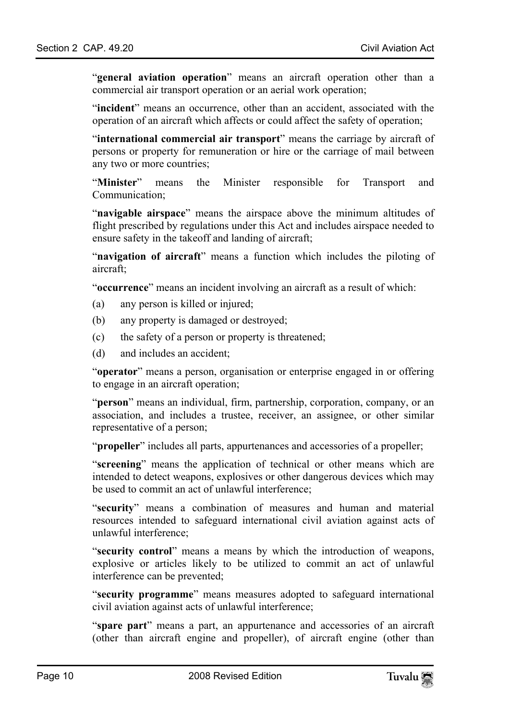"**general aviation operation**" means an aircraft operation other than a commercial air transport operation or an aerial work operation;

"**incident**" means an occurrence, other than an accident, associated with the operation of an aircraft which affects or could affect the safety of operation;

"**international commercial air transport**" means the carriage by aircraft of persons or property for remuneration or hire or the carriage of mail between any two or more countries;

"**Minister**" means the Minister responsible for Transport and Communication;

"**navigable airspace**" means the airspace above the minimum altitudes of flight prescribed by regulations under this Act and includes airspace needed to ensure safety in the takeoff and landing of aircraft;

"**navigation of aircraft**" means a function which includes the piloting of aircraft;

"**occurrence**" means an incident involving an aircraft as a result of which:

- (a) any person is killed or injured;
- (b) any property is damaged or destroyed;
- (c) the safety of a person or property is threatened;
- (d) and includes an accident;

"**operator**" means a person, organisation or enterprise engaged in or offering to engage in an aircraft operation;

"**person**" means an individual, firm, partnership, corporation, company, or an association, and includes a trustee, receiver, an assignee, or other similar representative of a person;

"**propeller**" includes all parts, appurtenances and accessories of a propeller;

"**screening**" means the application of technical or other means which are intended to detect weapons, explosives or other dangerous devices which may be used to commit an act of unlawful interference;

"**security**" means a combination of measures and human and material resources intended to safeguard international civil aviation against acts of unlawful interference;

"**security control**" means a means by which the introduction of weapons, explosive or articles likely to be utilized to commit an act of unlawful interference can be prevented;

"**security programme**" means measures adopted to safeguard international civil aviation against acts of unlawful interference;

"**spare part**" means a part, an appurtenance and accessories of an aircraft (other than aircraft engine and propeller), of aircraft engine (other than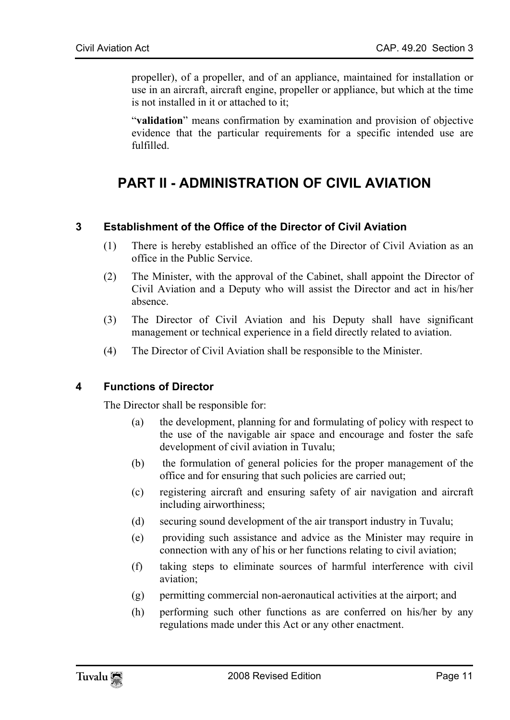propeller), of a propeller, and of an appliance, maintained for installation or use in an aircraft, aircraft engine, propeller or appliance, but which at the time is not installed in it or attached to it;

<span id="page-10-0"></span>"**validation**" means confirmation by examination and provision of objective evidence that the particular requirements for a specific intended use are fulfilled.

# <span id="page-10-1"></span>**PART II - ADMINISTRATION OF CIVIL AVIATION**

# **3 Establishment of the Office of the Director of Civil Aviation**

- (1) There is hereby established an office of the Director of Civil Aviation as an office in the Public Service.
- (2) The Minister, with the approval of the Cabinet, shall appoint the Director of Civil Aviation and a Deputy who will assist the Director and act in his/her absence.
- <span id="page-10-2"></span>(3) The Director of Civil Aviation and his Deputy shall have significant management or technical experience in a field directly related to aviation.
- (4) The Director of Civil Aviation shall be responsible to the Minister.

#### **4 Functions of Director**

The Director shall be responsible for:

- (a) the development, planning for and formulating of policy with respect to the use of the navigable air space and encourage and foster the safe development of civil aviation in Tuvalu;
- (b) the formulation of general policies for the proper management of the office and for ensuring that such policies are carried out;
- (c) registering aircraft and ensuring safety of air navigation and aircraft including airworthiness;
- (d) securing sound development of the air transport industry in Tuvalu;
- (e) providing such assistance and advice as the Minister may require in connection with any of his or her functions relating to civil aviation;
- (f) taking steps to eliminate sources of harmful interference with civil aviation;
- (g) permitting commercial non-aeronautical activities at the airport; and
- (h) performing such other functions as are conferred on his/her by any regulations made under this Act or any other enactment.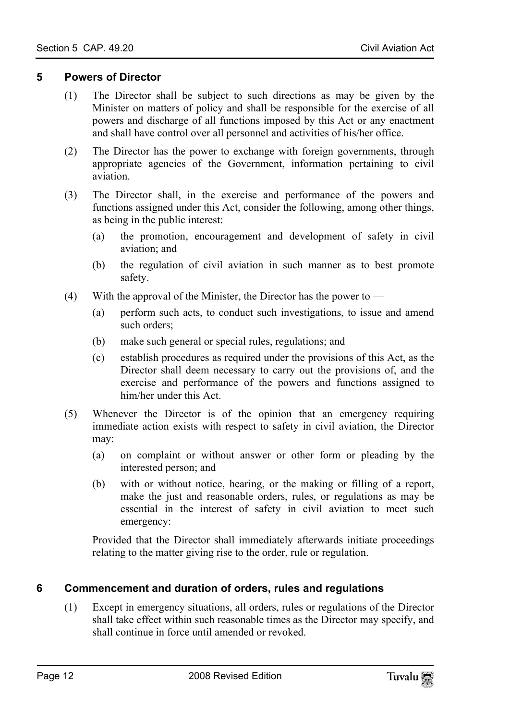#### **5 Powers of Director**

- <span id="page-11-0"></span>(1) The Director shall be subject to such directions as may be given by the Minister on matters of policy and shall be responsible for the exercise of all powers and discharge of all functions imposed by this Act or any enactment and shall have control over all personnel and activities of his/her office.
- (2) The Director has the power to exchange with foreign governments, through appropriate agencies of the Government, information pertaining to civil aviation.
- (3) The Director shall, in the exercise and performance of the powers and functions assigned under this Act, consider the following, among other things, as being in the public interest:
	- (a) the promotion, encouragement and development of safety in civil aviation; and
	- (b) the regulation of civil aviation in such manner as to best promote safety.
- (4) With the approval of the Minister, the Director has the power to  $-$ 
	- (a) perform such acts, to conduct such investigations, to issue and amend such orders;
	- (b) make such general or special rules, regulations; and
	- (c) establish procedures as required under the provisions of this Act, as the Director shall deem necessary to carry out the provisions of, and the exercise and performance of the powers and functions assigned to him/her under this Act.
- (5) Whenever the Director is of the opinion that an emergency requiring immediate action exists with respect to safety in civil aviation, the Director may:
	- (a) on complaint or without answer or other form or pleading by the interested person; and
	- (b) with or without notice, hearing, or the making or filling of a report, make the just and reasonable orders, rules, or regulations as may be essential in the interest of safety in civil aviation to meet such emergency:

<span id="page-11-1"></span>Provided that the Director shall immediately afterwards initiate proceedings relating to the matter giving rise to the order, rule or regulation.

# **6 Commencement and duration of orders, rules and regulations**

(1) Except in emergency situations, all orders, rules or regulations of the Director shall take effect within such reasonable times as the Director may specify, and shall continue in force until amended or revoked.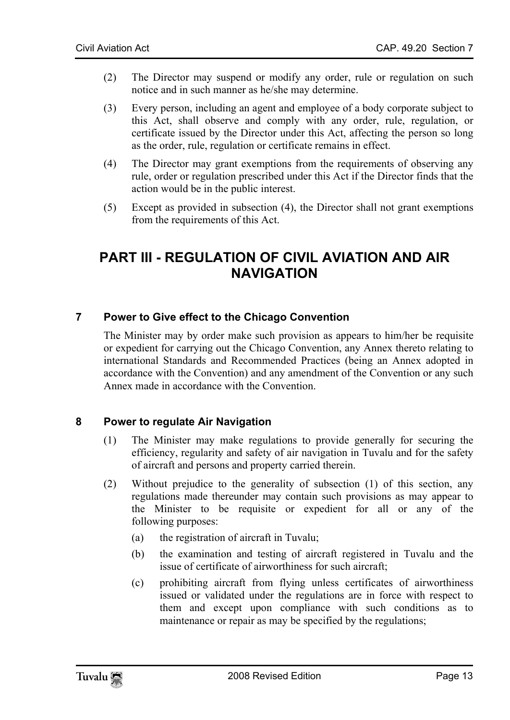- (2) The Director may suspend or modify any order, rule or regulation on such notice and in such manner as he/she may determine.
- (3) Every person, including an agent and employee of a body corporate subject to this Act, shall observe and comply with any order, rule, regulation, or certificate issued by the Director under this Act, affecting the person so long as the order, rule, regulation or certificate remains in effect.
- (4) The Director may grant exemptions from the requirements of observing any rule, order or regulation prescribed under this Act if the Director finds that the action would be in the public interest.
- <span id="page-12-0"></span>(5) Except as provided in subsection (4), the Director shall not grant exemptions from the requirements of this Act.

# <span id="page-12-1"></span>**PART III - REGULATION OF CIVIL AVIATION AND AIR NAVIGATION**

#### **7 Power to Give effect to the Chicago Convention**

<span id="page-12-2"></span>The Minister may by order make such provision as appears to him/her be requisite or expedient for carrying out the Chicago Convention, any Annex thereto relating to international Standards and Recommended Practices (being an Annex adopted in accordance with the Convention) and any amendment of the Convention or any such Annex made in accordance with the Convention.

#### **8 Power to regulate Air Navigation**

- (1) The Minister may make regulations to provide generally for securing the efficiency, regularity and safety of air navigation in Tuvalu and for the safety of aircraft and persons and property carried therein.
- (2) Without prejudice to the generality of subsection (1) of this section, any regulations made thereunder may contain such provisions as may appear to the Minister to be requisite or expedient for all or any of the following purposes:
	- (a) the registration of aircraft in Tuvalu;
	- (b) the examination and testing of aircraft registered in Tuvalu and the issue of certificate of airworthiness for such aircraft;
	- (c) prohibiting aircraft from flying unless certificates of airworthiness issued or validated under the regulations are in force with respect to them and except upon compliance with such conditions as to maintenance or repair as may be specified by the regulations;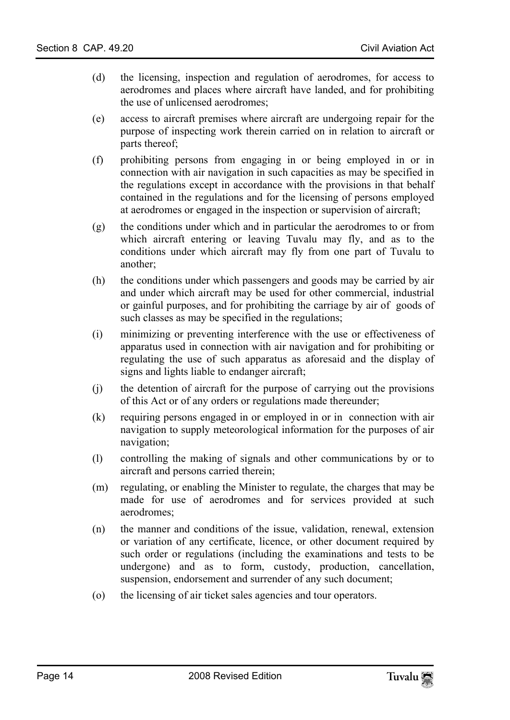- (d) the licensing, inspection and regulation of aerodromes, for access to aerodromes and places where aircraft have landed, and for prohibiting the use of unlicensed aerodromes;
- (e) access to aircraft premises where aircraft are undergoing repair for the purpose of inspecting work therein carried on in relation to aircraft or parts thereof;
- (f) prohibiting persons from engaging in or being employed in or in connection with air navigation in such capacities as may be specified in the regulations except in accordance with the provisions in that behalf contained in the regulations and for the licensing of persons employed at aerodromes or engaged in the inspection or supervision of aircraft;
- (g) the conditions under which and in particular the aerodromes to or from which aircraft entering or leaving Tuvalu may fly, and as to the conditions under which aircraft may fly from one part of Tuvalu to another;
- (h) the conditions under which passengers and goods may be carried by air and under which aircraft may be used for other commercial, industrial or gainful purposes, and for prohibiting the carriage by air of goods of such classes as may be specified in the regulations;
- (i) minimizing or preventing interference with the use or effectiveness of apparatus used in connection with air navigation and for prohibiting or regulating the use of such apparatus as aforesaid and the display of signs and lights liable to endanger aircraft;
- (j) the detention of aircraft for the purpose of carrying out the provisions of this Act or of any orders or regulations made thereunder;
- (k) requiring persons engaged in or employed in or in connection with air navigation to supply meteorological information for the purposes of air navigation;
- (l) controlling the making of signals and other communications by or to aircraft and persons carried therein;
- (m) regulating, or enabling the Minister to regulate, the charges that may be made for use of aerodromes and for services provided at such aerodromes;
- (n) the manner and conditions of the issue, validation, renewal, extension or variation of any certificate, licence, or other document required by such order or regulations (including the examinations and tests to be undergone) and as to form, custody, production, cancellation, suspension, endorsement and surrender of any such document;
- (o) the licensing of air ticket sales agencies and tour operators.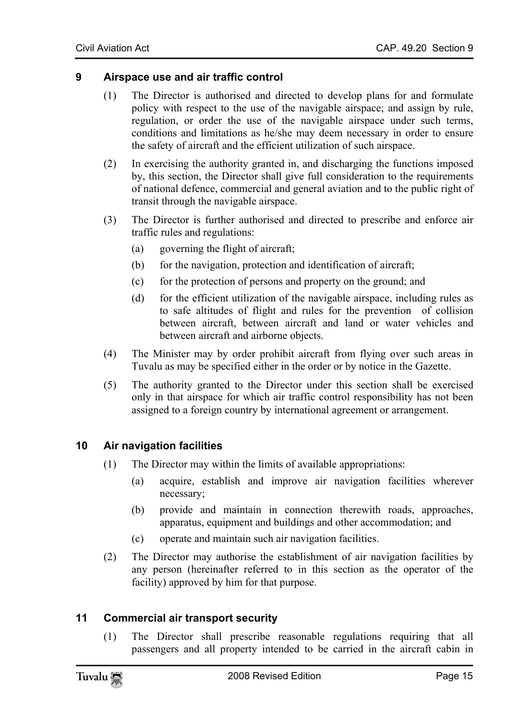#### **9 Airspace use and air traffic control**

- <span id="page-14-0"></span>(1) The Director is authorised and directed to develop plans for and formulate policy with respect to the use of the navigable airspace; and assign by rule, regulation, or order the use of the navigable airspace under such terms, conditions and limitations as he/she may deem necessary in order to ensure the safety of aircraft and the efficient utilization of such airspace.
- (2) In exercising the authority granted in, and discharging the functions imposed by, this section, the Director shall give full consideration to the requirements of national defence, commercial and general aviation and to the public right of transit through the navigable airspace.
- (3) The Director is further authorised and directed to prescribe and enforce air traffic rules and regulations:
	- (a) governing the flight of aircraft;
	- (b) for the navigation, protection and identification of aircraft;
	- (c) for the protection of persons and property on the ground; and
	- (d) for the efficient utilization of the navigable airspace, including rules as to safe altitudes of flight and rules for the prevention of collision between aircraft, between aircraft and land or water vehicles and between aircraft and airborne objects.
- (4) The Minister may by order prohibit aircraft from flying over such areas in Tuvalu as may be specified either in the order or by notice in the Gazette.
- <span id="page-14-1"></span>(5) The authority granted to the Director under this section shall be exercised only in that airspace for which air traffic control responsibility has not been assigned to a foreign country by international agreement or arrangement.

#### **10 Air navigation facilities**

- (1) The Director may within the limits of available appropriations:
	- (a) acquire, establish and improve air navigation facilities wherever necessary;
	- (b) provide and maintain in connection therewith roads, approaches, apparatus, equipment and buildings and other accommodation; and
	- (c) operate and maintain such air navigation facilities.
- <span id="page-14-2"></span>(2) The Director may authorise the establishment of air navigation facilities by any person (hereinafter referred to in this section as the operator of the facility) approved by him for that purpose.

#### **11 Commercial air transport security**

(1) The Director shall prescribe reasonable regulations requiring that all passengers and all property intended to be carried in the aircraft cabin in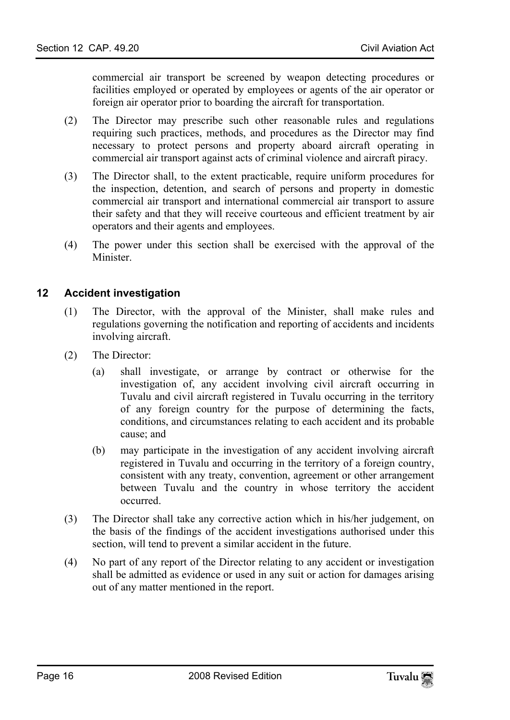commercial air transport be screened by weapon detecting procedures or facilities employed or operated by employees or agents of the air operator or foreign air operator prior to boarding the aircraft for transportation.

- (2) The Director may prescribe such other reasonable rules and regulations requiring such practices, methods, and procedures as the Director may find necessary to protect persons and property aboard aircraft operating in commercial air transport against acts of criminal violence and aircraft piracy.
- (3) The Director shall, to the extent practicable, require uniform procedures for the inspection, detention, and search of persons and property in domestic commercial air transport and international commercial air transport to assure their safety and that they will receive courteous and efficient treatment by air operators and their agents and employees.
- <span id="page-15-0"></span>(4) The power under this section shall be exercised with the approval of the **Minister**

#### **12 Accident investigation**

- (1) The Director, with the approval of the Minister, shall make rules and regulations governing the notification and reporting of accidents and incidents involving aircraft.
- (2) The Director:
	- (a) shall investigate, or arrange by contract or otherwise for the investigation of, any accident involving civil aircraft occurring in Tuvalu and civil aircraft registered in Tuvalu occurring in the territory of any foreign country for the purpose of determining the facts, conditions, and circumstances relating to each accident and its probable cause; and
	- (b) may participate in the investigation of any accident involving aircraft registered in Tuvalu and occurring in the territory of a foreign country, consistent with any treaty, convention, agreement or other arrangement between Tuvalu and the country in whose territory the accident occurred.
- (3) The Director shall take any corrective action which in his/her judgement, on the basis of the findings of the accident investigations authorised under this section, will tend to prevent a similar accident in the future.
- (4) No part of any report of the Director relating to any accident or investigation shall be admitted as evidence or used in any suit or action for damages arising out of any matter mentioned in the report.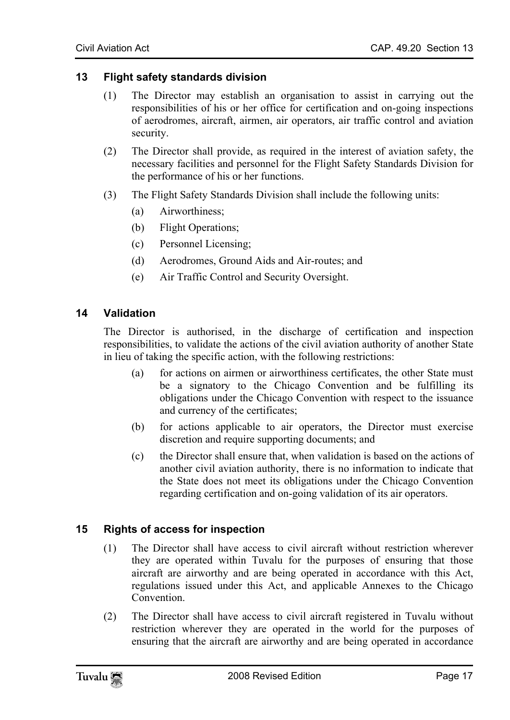#### **13 Flight safety standards division**

- <span id="page-16-0"></span>(1) The Director may establish an organisation to assist in carrying out the responsibilities of his or her office for certification and on-going inspections of aerodromes, aircraft, airmen, air operators, air traffic control and aviation security.
- (2) The Director shall provide, as required in the interest of aviation safety, the necessary facilities and personnel for the Flight Safety Standards Division for the performance of his or her functions.
- <span id="page-16-1"></span>(3) The Flight Safety Standards Division shall include the following units:
	- (a) Airworthiness;
	- (b) Flight Operations;
	- (c) Personnel Licensing;
	- (d) Aerodromes, Ground Aids and Air-routes; and
	- (e) Air Traffic Control and Security Oversight.

#### **14 Validation**

The Director is authorised, in the discharge of certification and inspection responsibilities, to validate the actions of the civil aviation authority of another State in lieu of taking the specific action, with the following restrictions:

- (a) for actions on airmen or airworthiness certificates, the other State must be a signatory to the Chicago Convention and be fulfilling its obligations under the Chicago Convention with respect to the issuance and currency of the certificates;
- (b) for actions applicable to air operators, the Director must exercise discretion and require supporting documents; and
- <span id="page-16-2"></span>(c) the Director shall ensure that, when validation is based on the actions of another civil aviation authority, there is no information to indicate that the State does not meet its obligations under the Chicago Convention regarding certification and on-going validation of its air operators.

# **15 Rights of access for inspection**

- (1) The Director shall have access to civil aircraft without restriction wherever they are operated within Tuvalu for the purposes of ensuring that those aircraft are airworthy and are being operated in accordance with this Act, regulations issued under this Act, and applicable Annexes to the Chicago **Convention**
- (2) The Director shall have access to civil aircraft registered in Tuvalu without restriction wherever they are operated in the world for the purposes of ensuring that the aircraft are airworthy and are being operated in accordance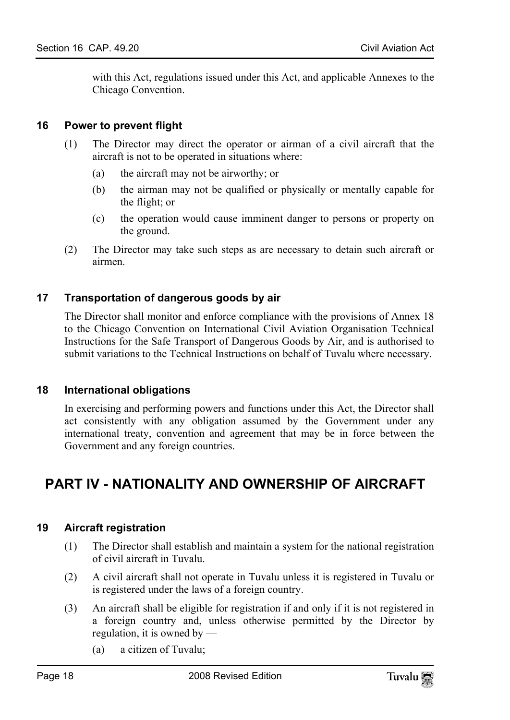<span id="page-17-0"></span>with this Act, regulations issued under this Act, and applicable Annexes to the Chicago Convention.

### **16 Power to prevent flight**

- (1) The Director may direct the operator or airman of a civil aircraft that the aircraft is not to be operated in situations where:
	- (a) the aircraft may not be airworthy; or
	- (b) the airman may not be qualified or physically or mentally capable for the flight; or
	- (c) the operation would cause imminent danger to persons or property on the ground.
- <span id="page-17-1"></span>(2) The Director may take such steps as are necessary to detain such aircraft or airmen.

# **17 Transportation of dangerous goods by air**

<span id="page-17-2"></span>The Director shall monitor and enforce compliance with the provisions of Annex 18 to the Chicago Convention on International Civil Aviation Organisation Technical Instructions for the Safe Transport of Dangerous Goods by Air, and is authorised to submit variations to the Technical Instructions on behalf of Tuvalu where necessary.

# **18 International obligations**

<span id="page-17-3"></span>In exercising and performing powers and functions under this Act, the Director shall act consistently with any obligation assumed by the Government under any international treaty, convention and agreement that may be in force between the Government and any foreign countries.

# <span id="page-17-4"></span>**PART IV - NATIONALITY AND OWNERSHIP OF AIRCRAFT**

# **19 Aircraft registration**

- (1) The Director shall establish and maintain a system for the national registration of civil aircraft in Tuvalu.
- (2) A civil aircraft shall not operate in Tuvalu unless it is registered in Tuvalu or is registered under the laws of a foreign country.
- (3) An aircraft shall be eligible for registration if and only if it is not registered in a foreign country and, unless otherwise permitted by the Director by regulation, it is owned by —
	- (a) a citizen of Tuvalu;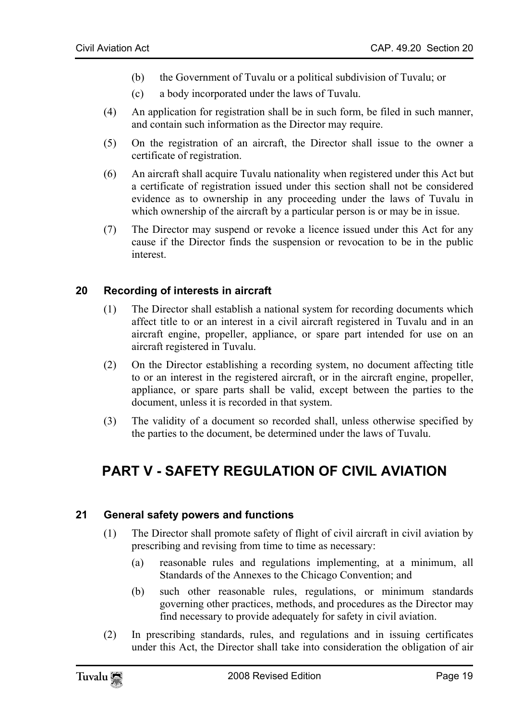- (b) the Government of Tuvalu or a political subdivision of Tuvalu; or
- (c) a body incorporated under the laws of Tuvalu.
- (4) An application for registration shall be in such form, be filed in such manner, and contain such information as the Director may require.
- (5) On the registration of an aircraft, the Director shall issue to the owner a certificate of registration.
- (6) An aircraft shall acquire Tuvalu nationality when registered under this Act but a certificate of registration issued under this section shall not be considered evidence as to ownership in any proceeding under the laws of Tuvalu in which ownership of the aircraft by a particular person is or may be in issue.
- <span id="page-18-0"></span>(7) The Director may suspend or revoke a licence issued under this Act for any cause if the Director finds the suspension or revocation to be in the public interest.

#### **20 Recording of interests in aircraft**

- (1) The Director shall establish a national system for recording documents which affect title to or an interest in a civil aircraft registered in Tuvalu and in an aircraft engine, propeller, appliance, or spare part intended for use on an aircraft registered in Tuvalu.
- (2) On the Director establishing a recording system, no document affecting title to or an interest in the registered aircraft, or in the aircraft engine, propeller, appliance, or spare parts shall be valid, except between the parties to the document, unless it is recorded in that system.
- (3) The validity of a document so recorded shall, unless otherwise specified by the parties to the document, be determined under the laws of Tuvalu.

# **PART V - SAFETY REGULATION OF CIVIL AVIATION**

#### **21 General safety powers and functions**

- (1) The Director shall promote safety of flight of civil aircraft in civil aviation by prescribing and revising from time to time as necessary:
	- (a) reasonable rules and regulations implementing, at a minimum, all Standards of the Annexes to the Chicago Convention; and
	- (b) such other reasonable rules, regulations, or minimum standards governing other practices, methods, and procedures as the Director may find necessary to provide adequately for safety in civil aviation.
- (2) In prescribing standards, rules, and regulations and in issuing certificates under this Act, the Director shall take into consideration the obligation of air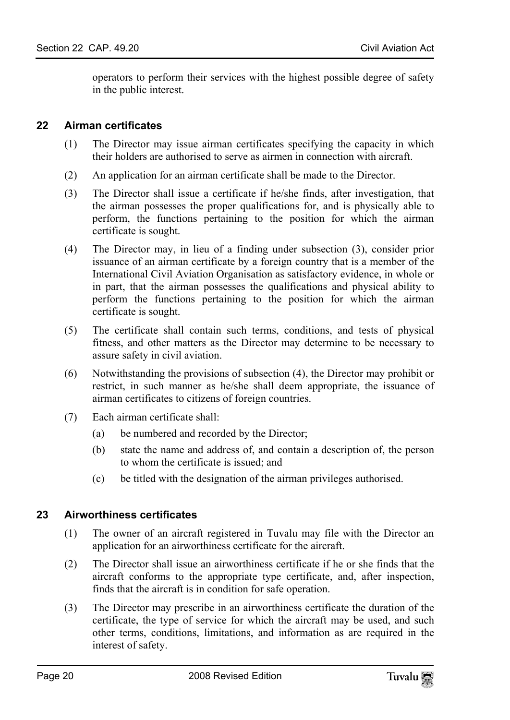<span id="page-19-0"></span>operators to perform their services with the highest possible degree of safety in the public interest.

### **22 Airman certificates**

- (1) The Director may issue airman certificates specifying the capacity in which their holders are authorised to serve as airmen in connection with aircraft.
- (2) An application for an airman certificate shall be made to the Director.
- (3) The Director shall issue a certificate if he/she finds, after investigation, that the airman possesses the proper qualifications for, and is physically able to perform, the functions pertaining to the position for which the airman certificate is sought.
- (4) The Director may, in lieu of a finding under subsection (3), consider prior issuance of an airman certificate by a foreign country that is a member of the International Civil Aviation Organisation as satisfactory evidence, in whole or in part, that the airman possesses the qualifications and physical ability to perform the functions pertaining to the position for which the airman certificate is sought.
- (5) The certificate shall contain such terms, conditions, and tests of physical fitness, and other matters as the Director may determine to be necessary to assure safety in civil aviation.
- (6) Notwithstanding the provisions of subsection (4), the Director may prohibit or restrict, in such manner as he/she shall deem appropriate, the issuance of airman certificates to citizens of foreign countries.
- <span id="page-19-1"></span>(7) Each airman certificate shall:
	- (a) be numbered and recorded by the Director;
	- (b) state the name and address of, and contain a description of, the person to whom the certificate is issued; and
	- (c) be titled with the designation of the airman privileges authorised.

# **23 Airworthiness certificates**

- (1) The owner of an aircraft registered in Tuvalu may file with the Director an application for an airworthiness certificate for the aircraft.
- (2) The Director shall issue an airworthiness certificate if he or she finds that the aircraft conforms to the appropriate type certificate, and, after inspection, finds that the aircraft is in condition for safe operation.
- (3) The Director may prescribe in an airworthiness certificate the duration of the certificate, the type of service for which the aircraft may be used, and such other terms, conditions, limitations, and information as are required in the interest of safety.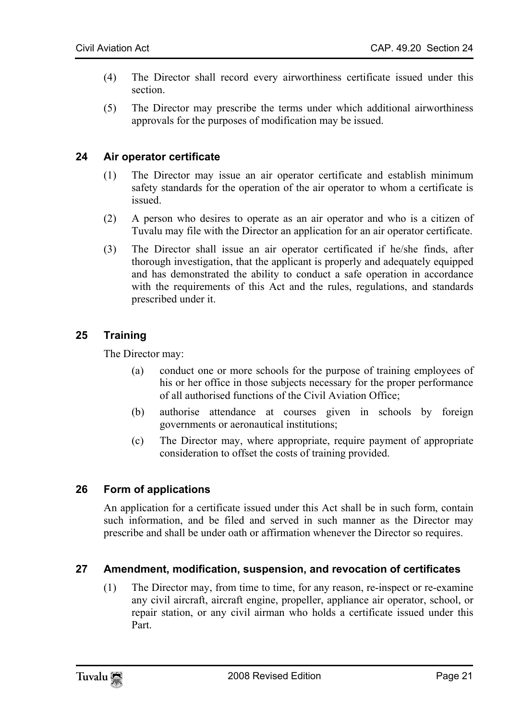- (4) The Director shall record every airworthiness certificate issued under this section.
- <span id="page-20-0"></span>(5) The Director may prescribe the terms under which additional airworthiness approvals for the purposes of modification may be issued.

#### **24 Air operator certificate**

- (1) The Director may issue an air operator certificate and establish minimum safety standards for the operation of the air operator to whom a certificate is issued.
- (2) A person who desires to operate as an air operator and who is a citizen of Tuvalu may file with the Director an application for an air operator certificate.
- <span id="page-20-1"></span>(3) The Director shall issue an air operator certificated if he/she finds, after thorough investigation, that the applicant is properly and adequately equipped and has demonstrated the ability to conduct a safe operation in accordance with the requirements of this Act and the rules, regulations, and standards prescribed under it.

# **25 Training**

The Director may:

- (a) conduct one or more schools for the purpose of training employees of his or her office in those subjects necessary for the proper performance of all authorised functions of the Civil Aviation Office;
- <span id="page-20-2"></span>(b) authorise attendance at courses given in schools by foreign governments or aeronautical institutions;
- (c) The Director may, where appropriate, require payment of appropriate consideration to offset the costs of training provided.

# **26 Form of applications**

<span id="page-20-3"></span>An application for a certificate issued under this Act shall be in such form, contain such information, and be filed and served in such manner as the Director may prescribe and shall be under oath or affirmation whenever the Director so requires.

# **27 Amendment, modification, suspension, and revocation of certificates**

(1) The Director may, from time to time, for any reason, re-inspect or re-examine any civil aircraft, aircraft engine, propeller, appliance air operator, school, or repair station, or any civil airman who holds a certificate issued under this Part.

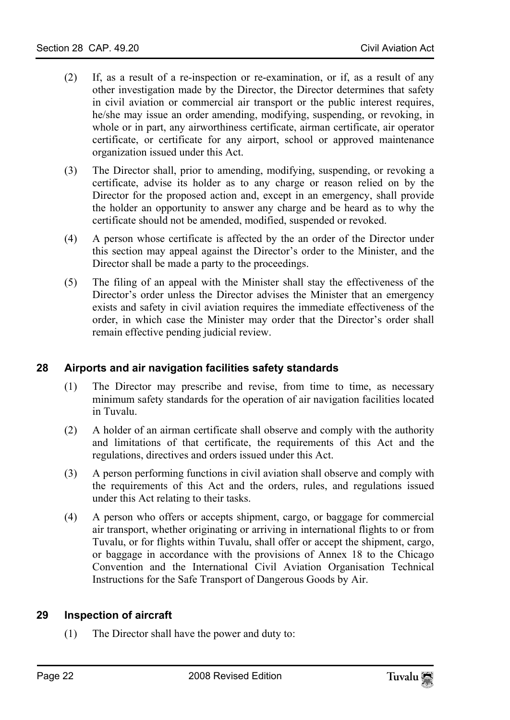- (2) If, as a result of a re-inspection or re-examination, or if, as a result of any other investigation made by the Director, the Director determines that safety in civil aviation or commercial air transport or the public interest requires, he/she may issue an order amending, modifying, suspending, or revoking, in whole or in part, any airworthiness certificate, airman certificate, air operator certificate, or certificate for any airport, school or approved maintenance organization issued under this Act.
- (3) The Director shall, prior to amending, modifying, suspending, or revoking a certificate, advise its holder as to any charge or reason relied on by the Director for the proposed action and, except in an emergency, shall provide the holder an opportunity to answer any charge and be heard as to why the certificate should not be amended, modified, suspended or revoked.
- (4) A person whose certificate is affected by the an order of the Director under this section may appeal against the Director's order to the Minister, and the Director shall be made a party to the proceedings.
- <span id="page-21-0"></span>(5) The filing of an appeal with the Minister shall stay the effectiveness of the Director's order unless the Director advises the Minister that an emergency exists and safety in civil aviation requires the immediate effectiveness of the order, in which case the Minister may order that the Director's order shall remain effective pending judicial review.

# **28 Airports and air navigation facilities safety standards**

- (1) The Director may prescribe and revise, from time to time, as necessary minimum safety standards for the operation of air navigation facilities located in Tuvalu.
- (2) A holder of an airman certificate shall observe and comply with the authority and limitations of that certificate, the requirements of this Act and the regulations, directives and orders issued under this Act.
- (3) A person performing functions in civil aviation shall observe and comply with the requirements of this Act and the orders, rules, and regulations issued under this Act relating to their tasks.
- <span id="page-21-1"></span>(4) A person who offers or accepts shipment, cargo, or baggage for commercial air transport, whether originating or arriving in international flights to or from Tuvalu, or for flights within Tuvalu, shall offer or accept the shipment, cargo, or baggage in accordance with the provisions of Annex 18 to the Chicago Convention and the International Civil Aviation Organisation Technical Instructions for the Safe Transport of Dangerous Goods by Air.

#### **29 Inspection of aircraft**

(1) The Director shall have the power and duty to: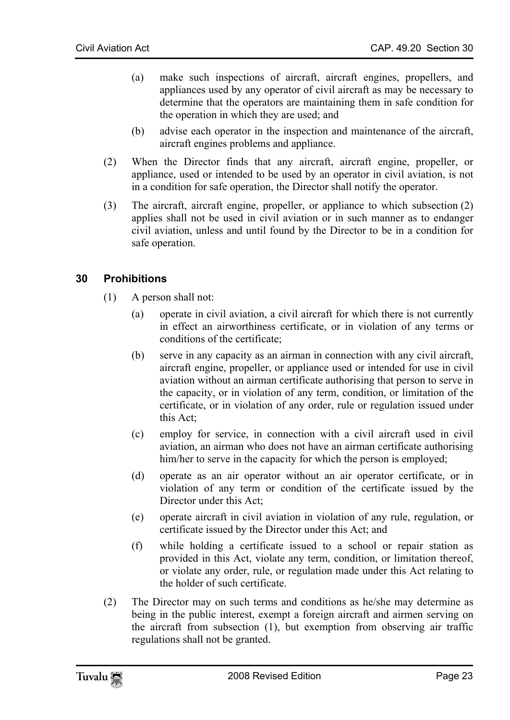- (a) make such inspections of aircraft, aircraft engines, propellers, and appliances used by any operator of civil aircraft as may be necessary to determine that the operators are maintaining them in safe condition for the operation in which they are used; and
- (b) advise each operator in the inspection and maintenance of the aircraft, aircraft engines problems and appliance.
- (2) When the Director finds that any aircraft, aircraft engine, propeller, or appliance, used or intended to be used by an operator in civil aviation, is not in a condition for safe operation, the Director shall notify the operator.
- <span id="page-22-0"></span>(3) The aircraft, aircraft engine, propeller, or appliance to which subsection (2) applies shall not be used in civil aviation or in such manner as to endanger civil aviation, unless and until found by the Director to be in a condition for safe operation.

# **30 Prohibitions**

- (1) A person shall not:
	- (a) operate in civil aviation, a civil aircraft for which there is not currently in effect an airworthiness certificate, or in violation of any terms or conditions of the certificate;
	- (b) serve in any capacity as an airman in connection with any civil aircraft, aircraft engine, propeller, or appliance used or intended for use in civil aviation without an airman certificate authorising that person to serve in the capacity, or in violation of any term, condition, or limitation of the certificate, or in violation of any order, rule or regulation issued under this Act;
	- (c) employ for service, in connection with a civil aircraft used in civil aviation, an airman who does not have an airman certificate authorising him/her to serve in the capacity for which the person is employed;
	- (d) operate as an air operator without an air operator certificate, or in violation of any term or condition of the certificate issued by the Director under this Act;
	- (e) operate aircraft in civil aviation in violation of any rule, regulation, or certificate issued by the Director under this Act; and
	- (f) while holding a certificate issued to a school or repair station as provided in this Act, violate any term, condition, or limitation thereof, or violate any order, rule, or regulation made under this Act relating to the holder of such certificate.
- (2) The Director may on such terms and conditions as he/she may determine as being in the public interest, exempt a foreign aircraft and airmen serving on the aircraft from subsection (1), but exemption from observing air traffic regulations shall not be granted.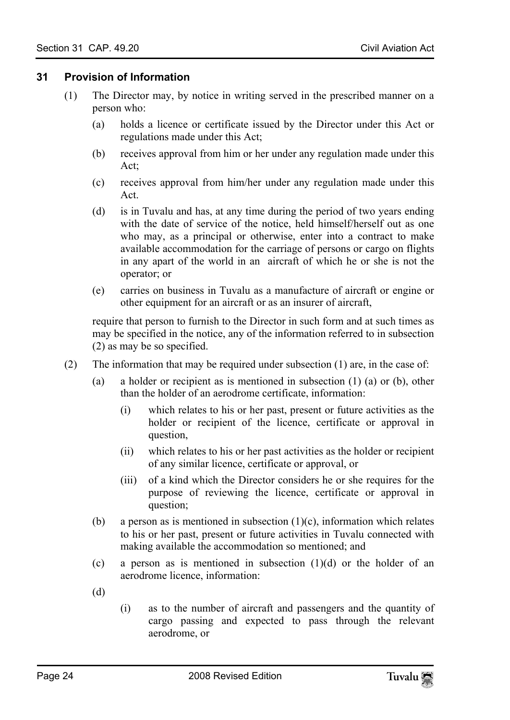#### <span id="page-23-0"></span>**31 Provision of Information**

- (1) The Director may, by notice in writing served in the prescribed manner on a person who:
	- (a) holds a licence or certificate issued by the Director under this Act or regulations made under this Act;
	- (b) receives approval from him or her under any regulation made under this Act;
	- (c) receives approval from him/her under any regulation made under this Act.
	- (d) is in Tuvalu and has, at any time during the period of two years ending with the date of service of the notice, held himself/herself out as one who may, as a principal or otherwise, enter into a contract to make available accommodation for the carriage of persons or cargo on flights in any apart of the world in an aircraft of which he or she is not the operator; or
	- (e) carries on business in Tuvalu as a manufacture of aircraft or engine or other equipment for an aircraft or as an insurer of aircraft,

require that person to furnish to the Director in such form and at such times as may be specified in the notice, any of the information referred to in subsection (2) as may be so specified.

- (2) The information that may be required under subsection (1) are, in the case of:
	- (a) a holder or recipient as is mentioned in subsection (1) (a) or (b), other than the holder of an aerodrome certificate, information:
		- (i) which relates to his or her past, present or future activities as the holder or recipient of the licence, certificate or approval in question,
		- (ii) which relates to his or her past activities as the holder or recipient of any similar licence, certificate or approval, or
		- (iii) of a kind which the Director considers he or she requires for the purpose of reviewing the licence, certificate or approval in question;
	- (b) a person as is mentioned in subsection  $(1)(c)$ , information which relates to his or her past, present or future activities in Tuvalu connected with making available the accommodation so mentioned; and
	- (c) a person as is mentioned in subsection  $(1)(d)$  or the holder of an aerodrome licence, information:
	- (d)
- (i) as to the number of aircraft and passengers and the quantity of cargo passing and expected to pass through the relevant aerodrome, or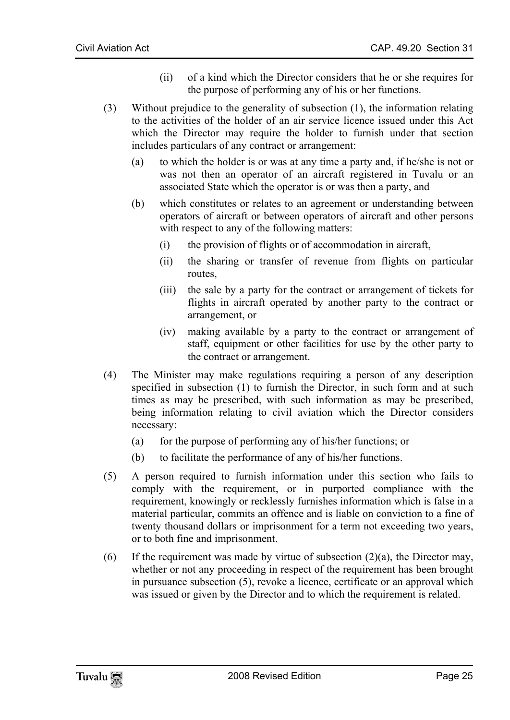- (ii) of a kind which the Director considers that he or she requires for the purpose of performing any of his or her functions.
- (3) Without prejudice to the generality of subsection (1), the information relating to the activities of the holder of an air service licence issued under this Act which the Director may require the holder to furnish under that section includes particulars of any contract or arrangement:
	- (a) to which the holder is or was at any time a party and, if he/she is not or was not then an operator of an aircraft registered in Tuvalu or an associated State which the operator is or was then a party, and
	- (b) which constitutes or relates to an agreement or understanding between operators of aircraft or between operators of aircraft and other persons with respect to any of the following matters:
		- (i) the provision of flights or of accommodation in aircraft,
		- (ii) the sharing or transfer of revenue from flights on particular routes,
		- (iii) the sale by a party for the contract or arrangement of tickets for flights in aircraft operated by another party to the contract or arrangement, or
		- (iv) making available by a party to the contract or arrangement of staff, equipment or other facilities for use by the other party to the contract or arrangement.
- (4) The Minister may make regulations requiring a person of any description specified in subsection (1) to furnish the Director, in such form and at such times as may be prescribed, with such information as may be prescribed, being information relating to civil aviation which the Director considers necessary:
	- (a) for the purpose of performing any of his/her functions; or
	- (b) to facilitate the performance of any of his/her functions.
- (5) A person required to furnish information under this section who fails to comply with the requirement, or in purported compliance with the requirement, knowingly or recklessly furnishes information which is false in a material particular, commits an offence and is liable on conviction to a fine of twenty thousand dollars or imprisonment for a term not exceeding two years, or to both fine and imprisonment.
- (6) If the requirement was made by virtue of subsection  $(2)(a)$ , the Director may, whether or not any proceeding in respect of the requirement has been brought in pursuance subsection (5), revoke a licence, certificate or an approval which was issued or given by the Director and to which the requirement is related.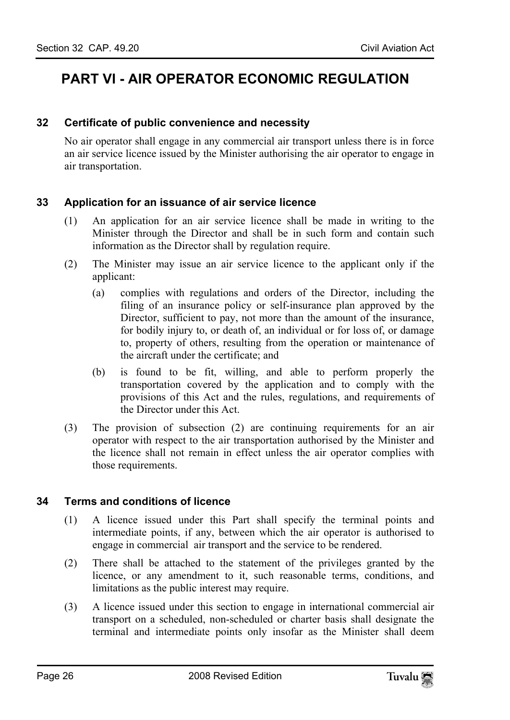# <span id="page-25-1"></span><span id="page-25-0"></span>**PART VI - AIR OPERATOR ECONOMIC REGULATION**

#### **32 Certificate of public convenience and necessity**

<span id="page-25-2"></span>No air operator shall engage in any commercial air transport unless there is in force an air service licence issued by the Minister authorising the air operator to engage in air transportation.

# **33 Application for an issuance of air service licence**

- (1) An application for an air service licence shall be made in writing to the Minister through the Director and shall be in such form and contain such information as the Director shall by regulation require.
- (2) The Minister may issue an air service licence to the applicant only if the applicant:
	- (a) complies with regulations and orders of the Director, including the filing of an insurance policy or self-insurance plan approved by the Director, sufficient to pay, not more than the amount of the insurance, for bodily injury to, or death of, an individual or for loss of, or damage to, property of others, resulting from the operation or maintenance of the aircraft under the certificate; and
	- (b) is found to be fit, willing, and able to perform properly the transportation covered by the application and to comply with the provisions of this Act and the rules, regulations, and requirements of the Director under this Act.
- <span id="page-25-3"></span>(3) The provision of subsection (2) are continuing requirements for an air operator with respect to the air transportation authorised by the Minister and the licence shall not remain in effect unless the air operator complies with those requirements.

#### **34 Terms and conditions of licence**

- (1) A licence issued under this Part shall specify the terminal points and intermediate points, if any, between which the air operator is authorised to engage in commercial air transport and the service to be rendered.
- (2) There shall be attached to the statement of the privileges granted by the licence, or any amendment to it, such reasonable terms, conditions, and limitations as the public interest may require.
- (3) A licence issued under this section to engage in international commercial air transport on a scheduled, non-scheduled or charter basis shall designate the terminal and intermediate points only insofar as the Minister shall deem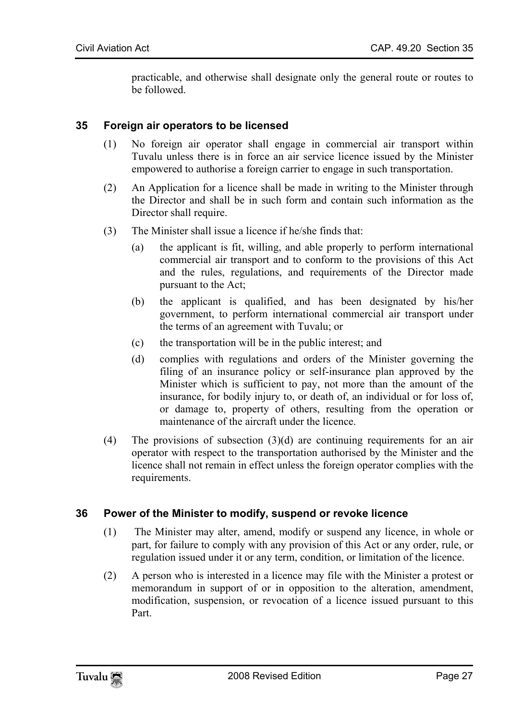<span id="page-26-0"></span>practicable, and otherwise shall designate only the general route or routes to be followed.

#### **35 Foreign air operators to be licensed**

- (1) No foreign air operator shall engage in commercial air transport within Tuvalu unless there is in force an air service licence issued by the Minister empowered to authorise a foreign carrier to engage in such transportation.
- (2) An Application for a licence shall be made in writing to the Minister through the Director and shall be in such form and contain such information as the Director shall require.
- (3) The Minister shall issue a licence if he/she finds that:
	- (a) the applicant is fit, willing, and able properly to perform international commercial air transport and to conform to the provisions of this Act and the rules, regulations, and requirements of the Director made pursuant to the Act;
	- (b) the applicant is qualified, and has been designated by his/her government, to perform international commercial air transport under the terms of an agreement with Tuvalu; or
	- (c) the transportation will be in the public interest; and
	- (d) complies with regulations and orders of the Minister governing the filing of an insurance policy or self-insurance plan approved by the Minister which is sufficient to pay, not more than the amount of the insurance, for bodily injury to, or death of, an individual or for loss of, or damage to, property of others, resulting from the operation or maintenance of the aircraft under the licence.
- <span id="page-26-1"></span>(4) The provisions of subsection  $(3)(d)$  are continuing requirements for an air operator with respect to the transportation authorised by the Minister and the licence shall not remain in effect unless the foreign operator complies with the requirements.

#### **36 Power of the Minister to modify, suspend or revoke licence**

- (1) The Minister may alter, amend, modify or suspend any licence, in whole or part, for failure to comply with any provision of this Act or any order, rule, or regulation issued under it or any term, condition, or limitation of the licence.
- (2) A person who is interested in a licence may file with the Minister a protest or memorandum in support of or in opposition to the alteration, amendment, modification, suspension, or revocation of a licence issued pursuant to this Part.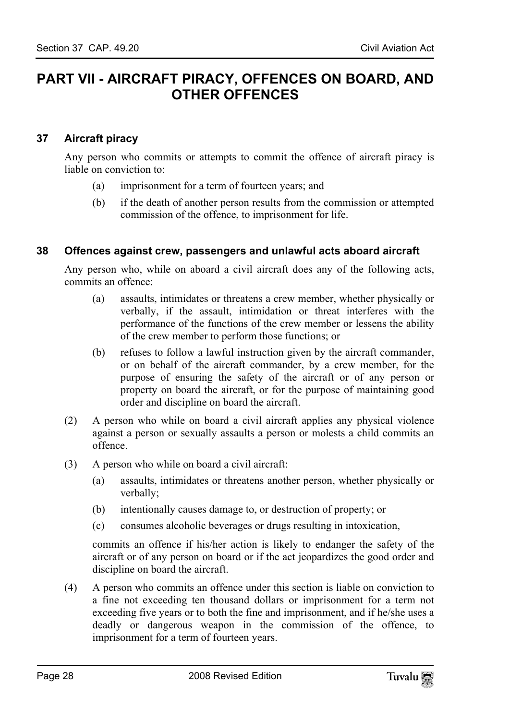# <span id="page-27-1"></span><span id="page-27-0"></span>**PART VII - AIRCRAFT PIRACY, OFFENCES ON BOARD, AND OTHER OFFENCES**

# **37 Aircraft piracy**

Any person who commits or attempts to commit the offence of aircraft piracy is liable on conviction to:

- <span id="page-27-2"></span>(a) imprisonment for a term of fourteen years; and
- (b) if the death of another person results from the commission or attempted commission of the offence, to imprisonment for life.

# **38 Offences against crew, passengers and unlawful acts aboard aircraft**

Any person who, while on aboard a civil aircraft does any of the following acts, commits an offence:

- (a) assaults, intimidates or threatens a crew member, whether physically or verbally, if the assault, intimidation or threat interferes with the performance of the functions of the crew member or lessens the ability of the crew member to perform those functions; or
- (b) refuses to follow a lawful instruction given by the aircraft commander, or on behalf of the aircraft commander, by a crew member, for the purpose of ensuring the safety of the aircraft or of any person or property on board the aircraft, or for the purpose of maintaining good order and discipline on board the aircraft.
- (2) A person who while on board a civil aircraft applies any physical violence against a person or sexually assaults a person or molests a child commits an offence.
- (3) A person who while on board a civil aircraft:
	- (a) assaults, intimidates or threatens another person, whether physically or verbally;
	- (b) intentionally causes damage to, or destruction of property; or
	- (c) consumes alcoholic beverages or drugs resulting in intoxication,

commits an offence if his/her action is likely to endanger the safety of the aircraft or of any person on board or if the act jeopardizes the good order and discipline on board the aircraft.

(4) A person who commits an offence under this section is liable on conviction to a fine not exceeding ten thousand dollars or imprisonment for a term not exceeding five years or to both the fine and imprisonment, and if he/she uses a deadly or dangerous weapon in the commission of the offence, to imprisonment for a term of fourteen years.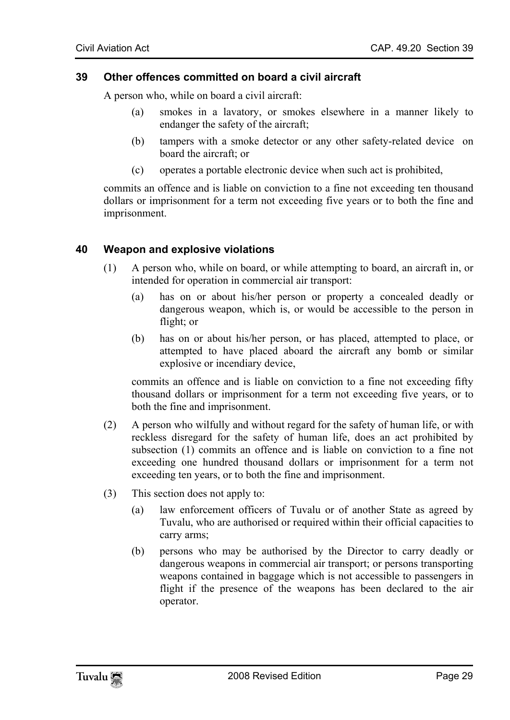#### <span id="page-28-0"></span>**39 Other offences committed on board a civil aircraft**

A person who, while on board a civil aircraft:

- (a) smokes in a lavatory, or smokes elsewhere in a manner likely to endanger the safety of the aircraft;
- (b) tampers with a smoke detector or any other safety-related device on board the aircraft; or
- <span id="page-28-1"></span>(c) operates a portable electronic device when such act is prohibited,

commits an offence and is liable on conviction to a fine not exceeding ten thousand dollars or imprisonment for a term not exceeding five years or to both the fine and imprisonment.

#### **40 Weapon and explosive violations**

- (1) A person who, while on board, or while attempting to board, an aircraft in, or intended for operation in commercial air transport:
	- (a) has on or about his/her person or property a concealed deadly or dangerous weapon, which is, or would be accessible to the person in flight; or
	- (b) has on or about his/her person, or has placed, attempted to place, or attempted to have placed aboard the aircraft any bomb or similar explosive or incendiary device,

commits an offence and is liable on conviction to a fine not exceeding fifty thousand dollars or imprisonment for a term not exceeding five years, or to both the fine and imprisonment.

- (2) A person who wilfully and without regard for the safety of human life, or with reckless disregard for the safety of human life, does an act prohibited by subsection (1) commits an offence and is liable on conviction to a fine not exceeding one hundred thousand dollars or imprisonment for a term not exceeding ten years, or to both the fine and imprisonment.
- (3) This section does not apply to:
	- (a) law enforcement officers of Tuvalu or of another State as agreed by Tuvalu, who are authorised or required within their official capacities to carry arms;
	- (b) persons who may be authorised by the Director to carry deadly or dangerous weapons in commercial air transport; or persons transporting weapons contained in baggage which is not accessible to passengers in flight if the presence of the weapons has been declared to the air operator.

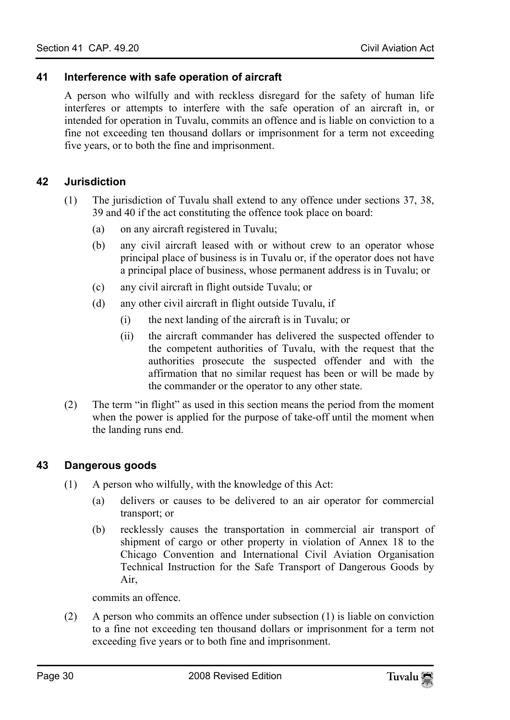### **41 Interference with safe operation of aircraft**

<span id="page-29-1"></span><span id="page-29-0"></span>A person who wilfully and with reckless disregard for the safety of human life interferes or attempts to interfere with the safe operation of an aircraft in, or intended for operation in Tuvalu, commits an offence and is liable on conviction to a fine not exceeding ten thousand dollars or imprisonment for a term not exceeding five years, or to both the fine and imprisonment.

# **42 Jurisdiction**

- (1) The jurisdiction of Tuvalu shall extend to any offence under sections 37, 38, 39 and 40 if the act constituting the offence took place on board:
	- (a) on any aircraft registered in Tuvalu;
	- (b) any civil aircraft leased with or without crew to an operator whose principal place of business is in Tuvalu or, if the operator does not have a principal place of business, whose permanent address is in Tuvalu; or
	- (c) any civil aircraft in flight outside Tuvalu; or
	- (d) any other civil aircraft in flight outside Tuvalu, if
		- (i) the next landing of the aircraft is in Tuvalu; or
		- (ii) the aircraft commander has delivered the suspected offender to the competent authorities of Tuvalu, with the request that the authorities prosecute the suspected offender and with the affirmation that no similar request has been or will be made by the commander or the operator to any other state.
- <span id="page-29-2"></span>(2) The term "in flight" as used in this section means the period from the moment when the power is applied for the purpose of take-off until the moment when the landing runs end.

#### **43 Dangerous goods**

- (1) A person who wilfully, with the knowledge of this Act:
	- (a) delivers or causes to be delivered to an air operator for commercial transport; or
	- (b) recklessly causes the transportation in commercial air transport of shipment of cargo or other property in violation of Annex 18 to the Chicago Convention and International Civil Aviation Organisation Technical Instruction for the Safe Transport of Dangerous Goods by Air,

commits an offence.

(2) A person who commits an offence under subsection (1) is liable on conviction to a fine not exceeding ten thousand dollars or imprisonment for a term not exceeding five years or to both fine and imprisonment.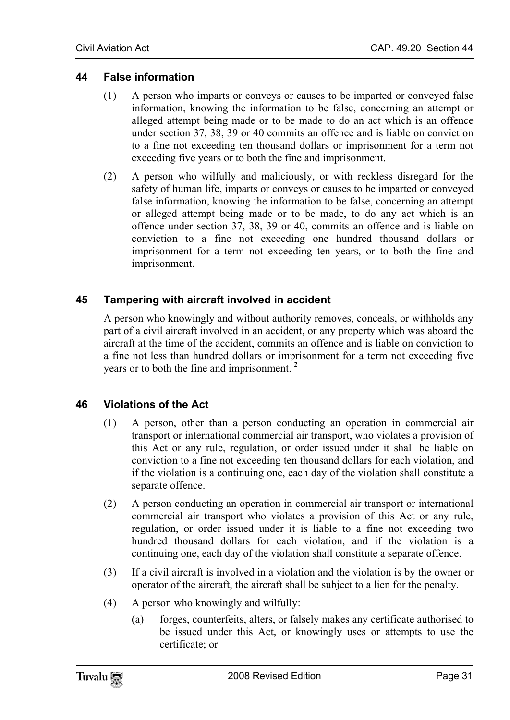# **44 False information**

- <span id="page-30-0"></span>(1) A person who imparts or conveys or causes to be imparted or conveyed false information, knowing the information to be false, concerning an attempt or alleged attempt being made or to be made to do an act which is an offence under section 37, 38, 39 or 40 commits an offence and is liable on conviction to a fine not exceeding ten thousand dollars or imprisonment for a term not exceeding five years or to both the fine and imprisonment.
- <span id="page-30-1"></span>(2) A person who wilfully and maliciously, or with reckless disregard for the safety of human life, imparts or conveys or causes to be imparted or conveyed false information, knowing the information to be false, concerning an attempt or alleged attempt being made or to be made, to do any act which is an offence under section 37, 38, 39 or 40, commits an offence and is liable on conviction to a fine not exceeding one hundred thousand dollars or imprisonment for a term not exceeding ten years, or to both the fine and imprisonment.

# **45 Tampering with aircraft involved in accident**

<span id="page-30-2"></span>A person who knowingly and without authority removes, [co](#page-36-1)nceals, or withholds any part of a civil aircraft involved in an accident, or any property which was aboard the aircraft at the time of the accident, commits an offence and is liable on conviction to a fine not less than hundred dollars or imprisonment for a term not exceeding five years or to both the fine and imprisonment. **<sup>2</sup>**

# **46 Violations of the Act**

- (1) A person, other than a person conducting an operation in commercial air transport or international commercial air transport, who violates a provision of this Act or any rule, regulation, or order issued under it shall be liable on conviction to a fine not exceeding ten thousand dollars for each violation, and if the violation is a continuing one, each day of the violation shall constitute a separate offence.
- (2) A person conducting an operation in commercial air transport or international commercial air transport who violates a provision of this Act or any rule, regulation, or order issued under it is liable to a fine not exceeding two hundred thousand dollars for each violation, and if the violation is a continuing one, each day of the violation shall constitute a separate offence.
- (3) If a civil aircraft is involved in a violation and the violation is by the owner or operator of the aircraft, the aircraft shall be subject to a lien for the penalty.
- (4) A person who knowingly and wilfully:
	- (a) forges, counterfeits, alters, or falsely makes any certificate authorised to be issued under this Act, or knowingly uses or attempts to use the certificate; or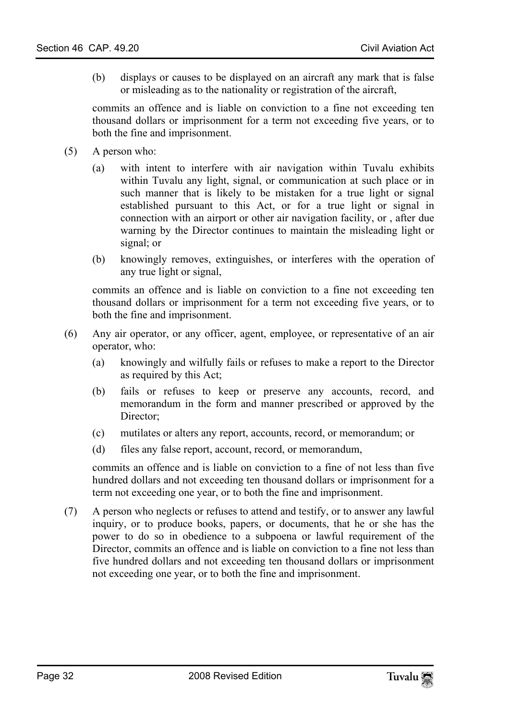(b) displays or causes to be displayed on an aircraft any mark that is false or misleading as to the nationality or registration of the aircraft,

commits an offence and is liable on conviction to a fine not exceeding ten thousand dollars or imprisonment for a term not exceeding five years, or to both the fine and imprisonment.

- (5) A person who:
	- (a) with intent to interfere with air navigation within Tuvalu exhibits within Tuvalu any light, signal, or communication at such place or in such manner that is likely to be mistaken for a true light or signal established pursuant to this Act, or for a true light or signal in connection with an airport or other air navigation facility, or , after due warning by the Director continues to maintain the misleading light or signal; or
	- (b) knowingly removes, extinguishes, or interferes with the operation of any true light or signal,

commits an offence and is liable on conviction to a fine not exceeding ten thousand dollars or imprisonment for a term not exceeding five years, or to both the fine and imprisonment.

- (6) Any air operator, or any officer, agent, employee, or representative of an air operator, who:
	- (a) knowingly and wilfully fails or refuses to make a report to the Director as required by this Act;
	- (b) fails or refuses to keep or preserve any accounts, record, and memorandum in the form and manner prescribed or approved by the Director;
	- (c) mutilates or alters any report, accounts, record, or memorandum; or
	- (d) files any false report, account, record, or memorandum,

commits an offence and is liable on conviction to a fine of not less than five hundred dollars and not exceeding ten thousand dollars or imprisonment for a term not exceeding one year, or to both the fine and imprisonment.

(7) A person who neglects or refuses to attend and testify, or to answer any lawful inquiry, or to produce books, papers, or documents, that he or she has the power to do so in obedience to a subpoena or lawful requirement of the Director, commits an offence and is liable on conviction to a fine not less than five hundred dollars and not exceeding ten thousand dollars or imprisonment not exceeding one year, or to both the fine and imprisonment.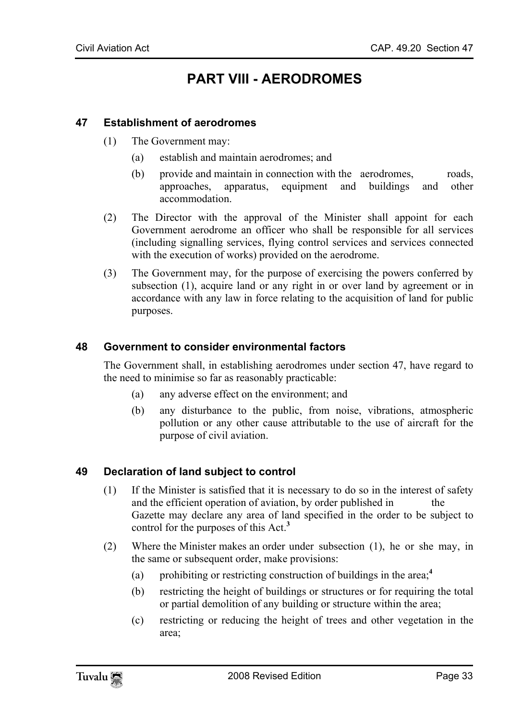# <span id="page-32-1"></span><span id="page-32-0"></span>**PART VIII - AERODROMES**

#### **47 Establishment of aerodromes**

- (1) The Government may:
	- (a) establish and maintain aerodromes; and
	- (b) provide and maintain in connection with the aerodromes, roads, approaches, apparatus, equipment and buildings and other accommodation.
- (2) The Director with the approval of the Minister shall appoint for each Government aerodrome an officer who shall be responsible for all services (including signalling services, flying control services and services connected with the execution of works) provided on the aerodrome.
- <span id="page-32-2"></span>(3) The Government may, for the purpose of exercising the powers conferred by subsection (1), acquire land or any right in or over land by agreement or in accordance with any law in force relating to the acquisition of land for public purposes.

#### **48 Government to consider environmental factors**

The Government shall, in establishing aerodromes under section 47, have regard to the need to minimise so far as reasonably practicable:

- (a) any adverse effect on the environment; and
- <span id="page-32-3"></span>(b) any disturbance to the public, from noise, vibrations, atmospheric pollution or any other cause attributable to the use of aircraft for the purpose of civil aviation.

#### **49 Declaration of land subject to control**

- (1) If the Minister is satisfied that it is necessary to do so in the interest of safety and the efficient operation of aviation, by order published in the Gazette may declare any area of land specified in the order to be subject to control for the purposes of this Act.**<sup>3</sup>**
- (2) Where the Minister makes an order under subsection (1), he or she may, in the same or subsequent order, make provisions:
	- (a) prohibiting or restricting construction of buildings in the area;**<sup>4</sup>**
	- (b) restricting the height of buildings or structures or for requiring the total or partial demolition of any building or structure within the area;
	- (c) restricting or reducing the height of trees and other vegetation in the area;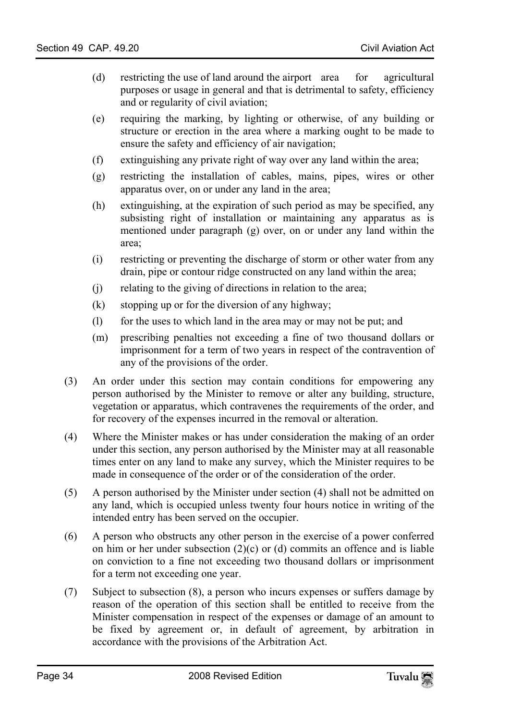- (d) restricting the use of land around the airport area for agricultural purposes or usage in general and that is detrimental to safety, efficiency and or regularity of civil aviation;
- (e) requiring the marking, by lighting or otherwise, of any building or structure or erection in the area where a marking ought to be made to ensure the safety and efficiency of air navigation;
- (f) extinguishing any private right of way over any land within the area;
- (g) restricting the installation of cables, mains, pipes, wires or other apparatus over, on or under any land in the area;
- (h) extinguishing, at the expiration of such period as may be specified, any subsisting right of installation or maintaining any apparatus as is mentioned under paragraph (g) over, on or under any land within the area;
- (i) restricting or preventing the discharge of storm or other water from any drain, pipe or contour ridge constructed on any land within the area;
- (j) relating to the giving of directions in relation to the area;
- (k) stopping up or for the diversion of any highway;
- (l) for the uses to which land in the area may or may not be put; and
- (m) prescribing penalties not exceeding a fine of two thousand dollars or imprisonment for a term of two years in respect of the contravention of any of the provisions of the order.
- (3) An order under this section may contain conditions for empowering any person authorised by the Minister to remove or alter any building, structure, vegetation or apparatus, which contravenes the requirements of the order, and for recovery of the expenses incurred in the removal or alteration.
- (4) Where the Minister makes or has under consideration the making of an order under this section, any person authorised by the Minister may at all reasonable times enter on any land to make any survey, which the Minister requires to be made in consequence of the order or of the consideration of the order.
- (5) A person authorised by the Minister under section (4) shall not be admitted on any land, which is occupied unless twenty four hours notice in writing of the intended entry has been served on the occupier.
- (6) A person who obstructs any other person in the exercise of a power conferred on him or her under subsection  $(2)(c)$  or (d) commits an offence and is liable on conviction to a fine not exceeding two thousand dollars or imprisonment for a term not exceeding one year.
- (7) Subject to subsection (8), a person who incurs expenses or suffers damage by reason of the operation of this section shall be entitled to receive from the Minister compensation in respect of the expenses or damage of an amount to be fixed by agreement or, in default of agreement, by arbitration in accordance with the provisions of the Arbitration Act.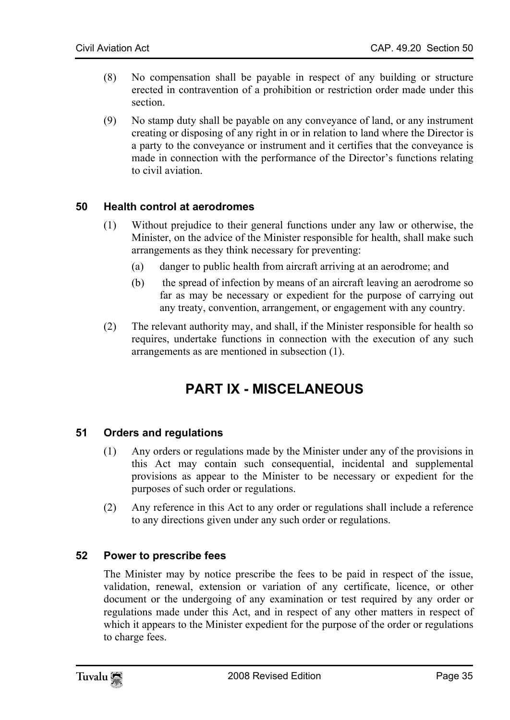- (8) No compensation shall be payable in respect of any building or structure erected in contravention of a prohibition or restriction order made under this section.
- <span id="page-34-0"></span>(9) No stamp duty shall be payable on any conveyance of land, or any instrument creating or disposing of any right in or in relation to land where the Director is a party to the conveyance or instrument and it certifies that the conveyance is made in connection with the performance of the Director's functions relating to civil aviation.

#### **50 Health control at aerodromes**

- (1) Without prejudice to their general functions under any law or otherwise, the Minister, on the advice of the Minister responsible for health, shall make such arrangements as they think necessary for preventing:
	- (a) danger to public health from aircraft arriving at an aerodrome; and
	- (b) the spread of infection by means of an aircraft leaving an aerodrome so far as may be necessary or expedient for the purpose of carrying out any treaty, convention, arrangement, or engagement with any country.
- (2) The relevant authority may, and shall, if the Minister responsible for health so requires, undertake functions in connection with the execution of any such arrangements as are mentioned in subsection (1).

# <span id="page-34-2"></span><span id="page-34-1"></span>**PART IX - MISCELANEOUS**

#### **51 Orders and regulations**

- (1) Any orders or regulations made by the Minister under any of the provisions in this Act may contain such consequential, incidental and supplemental provisions as appear to the Minister to be necessary or expedient for the purposes of such order or regulations.
- <span id="page-34-3"></span>(2) Any reference in this Act to any order or regulations shall include a reference to any directions given under any such order or regulations.

#### **52 Power to prescribe fees**

The Minister may by notice prescribe the fees to be paid in respect of the issue, validation, renewal, extension or variation of any certificate, licence, or other document or the undergoing of any examination or test required by any order or regulations made under this Act, and in respect of any other matters in respect of which it appears to the Minister expedient for the purpose of the order or regulations to charge fees.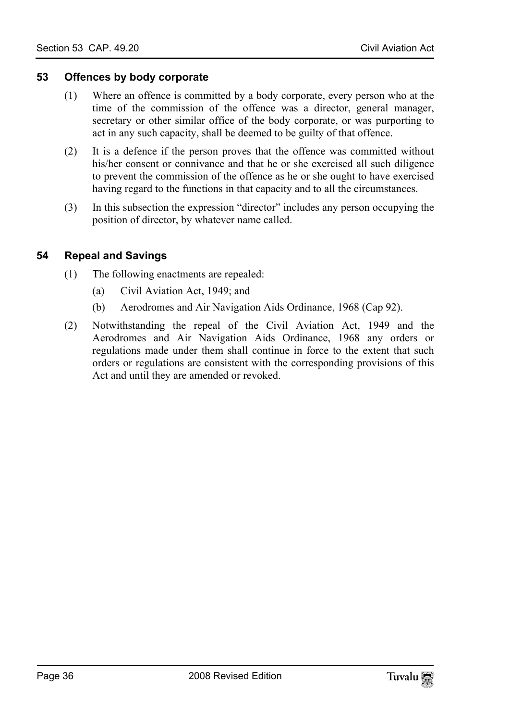#### **53 Offences by body corporate**

- <span id="page-35-0"></span>(1) Where an offence is committed by a body corporate, every person who at the time of the commission of the offence was a director, general manager, secretary or other similar office of the body corporate, or was purporting to act in any such capacity, shall be deemed to be guilty of that offence.
- (2) It is a defence if the person proves that the offence was committed without his/her consent or connivance and that he or she exercised all such diligence to prevent the commission of the offence as he or she ought to have exercised having regard to the functions in that capacity and to all the circumstances.
- <span id="page-35-1"></span>(3) In this subsection the expression "director" includes any person occupying the position of director, by whatever name called.

### **54 Repeal and Savings**

- (1) The following enactments are repealed:
	- (a) Civil Aviation Act, 1949; and
	- (b) Aerodromes and Air Navigation Aids Ordinance, 1968 (Cap 92).
- (2) Notwithstanding the repeal of the Civil Aviation Act, 1949 and the Aerodromes and Air Navigation Aids Ordinance, 1968 any orders or regulations made under them shall continue in force to the extent that such orders or regulations are consistent with the corresponding provisions of this Act and until they are amended or revoked.